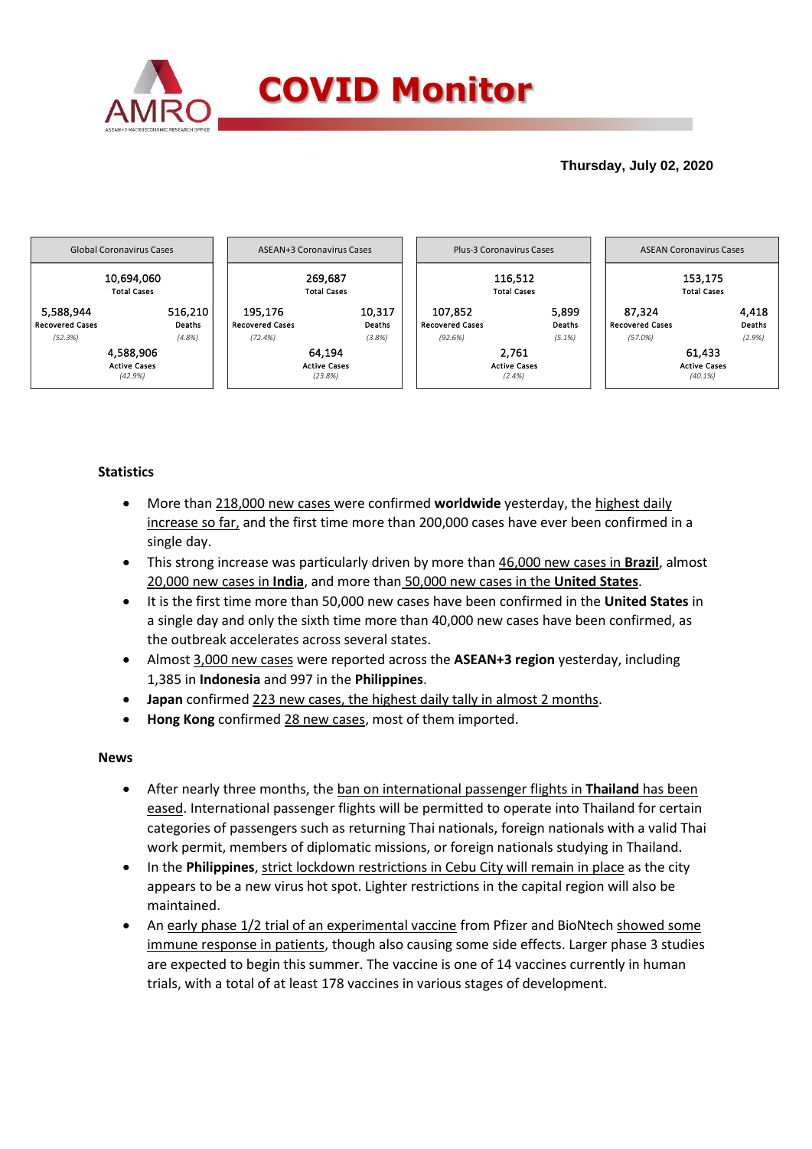

## **Thursday, July 02, 2020**



## **Statistics**

- More than 218,000 new cases were confirmed **worldwide** yesterday, the highest daily increase so far, and the first time more than 200,000 cases have ever been confirmed in a single day.
- This strong increase was particularly driven by more than 46,000 new cases in **Brazil**, almost 20,000 new cases in **India**, and more than 50,000 new cases in the **United States**.
- It is the first time more than 50,000 new cases have been confirmed in the **United States** in a single day and only the sixth time more than 40,000 new cases have been confirmed, as the outbreak accelerates across several states.
- Almost 3,000 new cases were reported across the **ASEAN+3 region** yesterday, including 1,385 in **Indonesia** and 997 in the **Philippines**.
- **Japan** confirmed 223 new cases, the highest daily tally in almost 2 months.
- **Hong Kong** confirmed 28 new cases, most of them imported.

### **News**

- After nearly three months, the ban on international passenger flights in **Thailand** has been eased. International passenger flights will be permitted to operate into Thailand for certain categories of passengers such as returning Thai nationals, foreign nationals with a valid Thai work permit, members of diplomatic missions, or foreign nationals studying in Thailand.
- In the **Philippines**, strict lockdown restrictions in Cebu City will remain in place as the city appears to be a new virus hot spot. Lighter restrictions in the capital region will also be maintained.
- An early phase 1/2 trial of an experimental vaccine from Pfizer and BioNtech showed some immune response in patients, though also causing some side effects. Larger phase 3 studies are expected to begin this summer. The vaccine is one of 14 vaccines currently in human trials, with a total of at least 178 vaccines in various stages of development.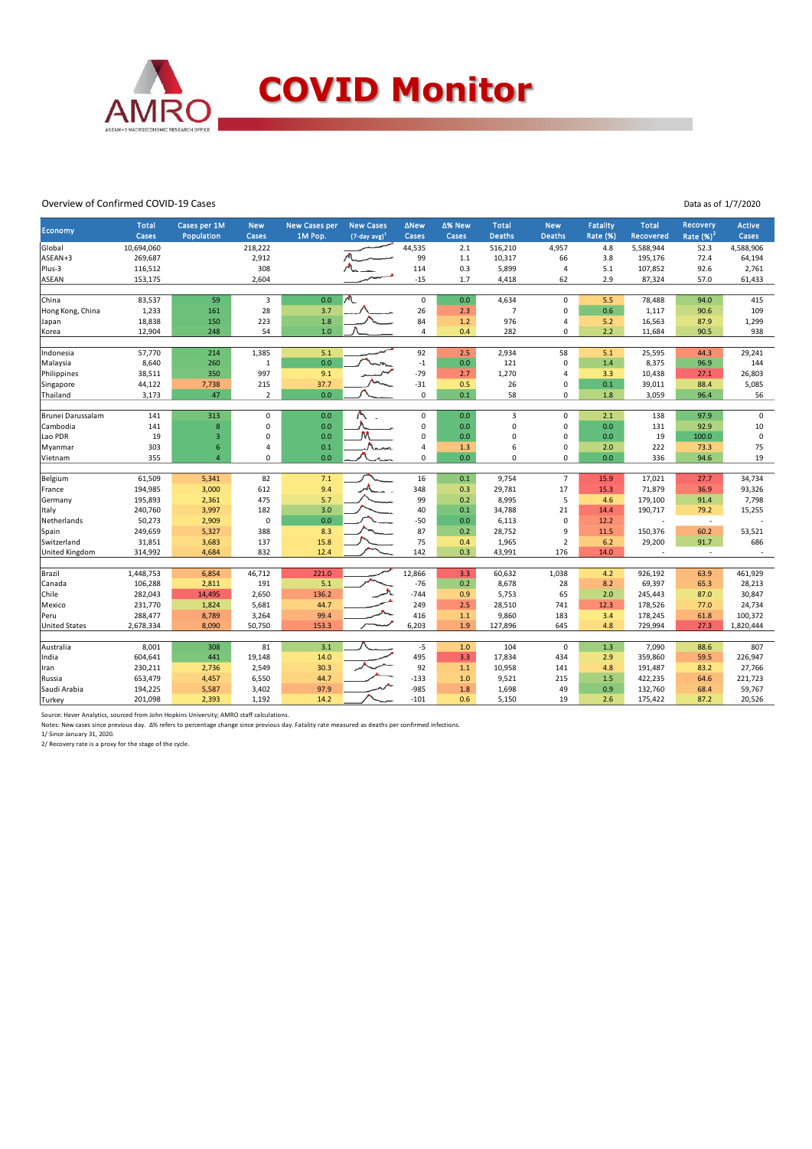

#### Overview of Confirmed COVID-19 Cases

Economy Total **Cases** Cases per 1M Population New Cases New Cases per 1M Pop. **New Case**  (7-day avg) 1 ΔNew Cases Δ% New **Cases** Total Deaths New Death Fatality Rate (%) Total covere **Recovery** Rate  $(%)^2$ Active Cases Global 10,694,060 218,222 44,535 2.1 516,210 4,957 4.8 5,588,944 52.3 4,588,906 ASEAN+3 269,687 2,912 99 1.1 10,317 66 3.8 195,176 72.4 64,194 Plus-3 116,512 308 114 0.3 5,899 4 5.1 107,852 92.6 2,761 ASEAN 153,175 2,604 -15 1.7 4,418 62 2.9 87,324 57.0 61,433 China 83,537 59 3 0.0 0 0.0 4,634 0 5.5 78,488 94.0 415 Hong Kong, China 1,233 161 28 3.7 26 2.3 7 0 0.6 1,117 90.6 109 Japan 18,838 150 223 1.8 84 1.2 976 4 5.2 16,563 87.9 1,299 Korea 12,904 248 54 1.0 4 0.4 282 0 2.2 11,684 90.5 938 Indonesia 57,770 214 1,385 5.1 92 2.5 2,934 58 5.1 25,595 44.3 29,241 Malaysia 8,640 260 1 0.0 -1 0.0 121 0 1.4 8,375 96.9 144 Philippines 38,511 350 997 9.1 -79 2.7 1,270 4 3.3 10,438 27.1 26,803 Singapore 44,122 7,738 215 37.7 -31 0.5 26 0 0.1 39,011 88.4 5,085 Thailand 3,173 47 2 0.0 0 0.1 58 0 1.8 3,059 96.4 56 Brunei Darussalam 141 313 0 0.0 0 0.0 3 0 2.1 138 97.9 0 Cambodia 141 8 0 0.0 0 0.0 0 0 0.0 131 92.9 10 Lao PDR 19 3 0 0.0 M 0 0.0 0 0.0 0 0.0 19 100.0 0 Myanmar 303 6 4 0.1 4 1.3 6 0 2.0 222 73.3 75 Vietnam 355 4 0 0.0 0 0.0 0 0 0.0 336 94.6 19 Belgium 61,509 5,341 82 7.1 16 0.1 9,754 7 15.9 17,021 27.7 34,734 France 194,985 3,000 612 9.4 348 0.3 29,781 17 15.3 71,879 36.9 93,326 Germany 195,893 2,361 475 5.7 99 0.2 8,995 5 4.6 179,100 91.4 7,798 Italy 240,760 3,997 182 3.0 40 0.1 34,788 21 14.4 190,717 79.2 15,255 Netherlands 50,273 2,909 0 0.0 -50 0.0 6,113 0 12.2 - - - Spain 249,659 5,327 388 8.3 87 0.2 28,752 9 11.5 150,376 60.2 53,521 Switzerland 31,851 3,683 137 15.8 75 0.4 1,965 2 6.2 29,200 91.7 686 United Kingdom 314,992 4,684 832 12.4 142 0.3 43,991 176 14.0 - - - Brazil 1,448,753 6,854 46,712 221.0 12,866 3.3 60,632 1,038 4.2 926,192 63.9 461,929 Canada 106,288 2,811 191 5.1 -76 0.2 8,678 28 8.2 69,397 65.3 28,213 Chile 282,043 14,495 2,650 136.2 -744 0.9 5,753 65 2.0 245,443 87.0 30,847 Mexico 231,770 1,824 5,681 44.7 249 2.5 28,510 741 12.3 178,526 77.0 24,734 Peru 288,477 8,789 3,264 99.4 416 1.1 9,860 183 3.4 178,245 61.8 100,372 United States 2,678,334 8,090 50,750 153.3 6,203 1.9 127,896 645 4.8 729,994 27.3 1,820,444 Australia 8,001 308 81 3.1 -5 1.0 104 0 1.3 7,090 88.6 807 India 604,641 441 19,148 14.0 495 3.3 17,834 434 2.9 359,860 59.5 226,947 Iran 230,211 2,736 2,549 30.3 92 1.1 10,958 141 4.8 191,487 83.2 27,766 Russia 653,479 4,457 6,550 44.7 -133 1.0 9,521 215 1.5 422,235 64.6 221,723 Saudi Arabia 194,225 5,587 3,402 97.9 -985 1.8 1,698 49 0.9 132,760 68.4 59,767 Turkey 201,098 2,393 1,192 14.2 -101 0.6 5,150 19 2.6 175,422 87.2 20,526

Data as of 1/7/2020

Source: Haver Analytics, sourced from John Hopkins University; AMRO staff calculations.

Source: naver sharpers, sourced nonromm hopmis onliversity, similo stan calculations.<br>Notes: New cases since previous day. Δ% refers to percentage change since previous day. Fatality rate measured as deaths per confirmed

1/ Since January 31, 2020.

2/ Recovery rate is a proxy for the stage of the cycle.